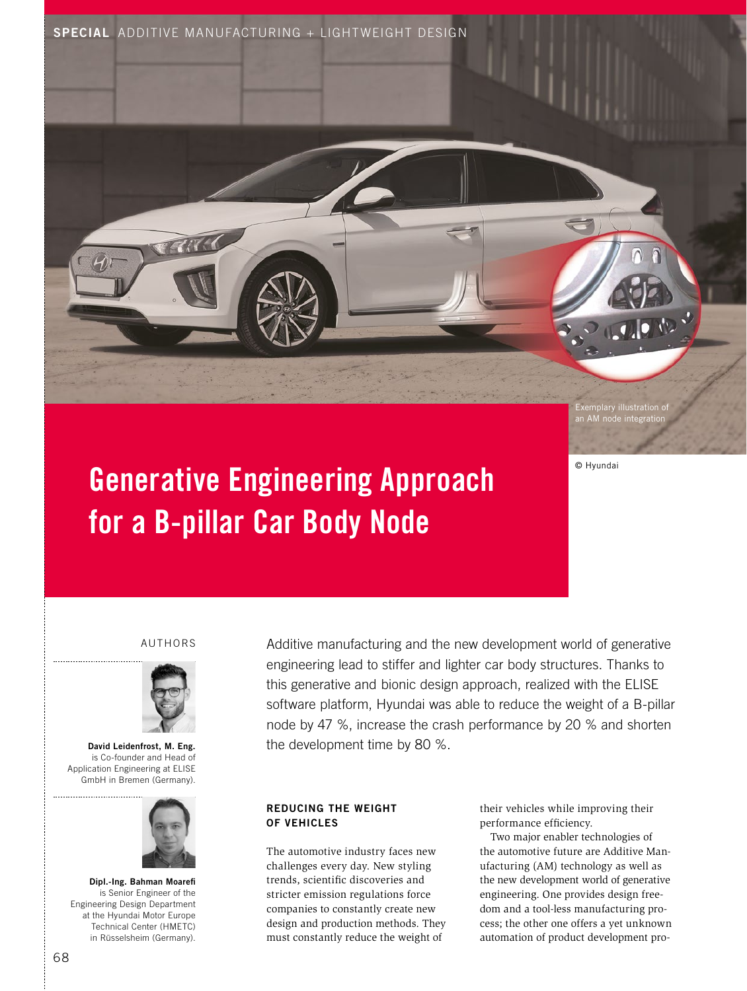SPECIAL ADDITIVE MANUFACTURING + LIGHTWEIGHT DESIGN



an AM node integration

© Hyundai

# Generative Engineering Approach for a B-pillar Car Body Node

AUTHORS



David Leidenfrost, M. Eng. is Co-founder and Head of Application Engineering at ELISE GmbH in Bremen (Germany).



Dipl.-Ing. Bahman Moaref is Senior Engineer of the Engineering Design Department at the Hyundai Motor Europe Technical Center (HMETC) in Rüsselsheim (Germany).

Additive manufacturing and the new development world of generative engineering lead to stiffer and lighter car body structures. Thanks to this generative and bionic design approach, realized with the ELISE software platform, Hyundai was able to reduce the weight of a B-pillar node by 47 %, increase the crash performance by 20 % and shorten the development time by 80 %.

# REDUCING THE WEIGHT OF VEHICLES

The automotive industry faces new challenges every day. New styling trends, scientifc discoveries and stricter emission regulations force companies to constantly create new design and production methods. They must constantly reduce the weight of

their vehicles while improving their performance efficiency.

Two major enabler technologies of the automotive future are Additive Manufacturing (AM) technology as well as the new development world of generative engineering. One provides design freedom and a tool-less manufacturing process; the other one offers a yet unknown automation of product development pro-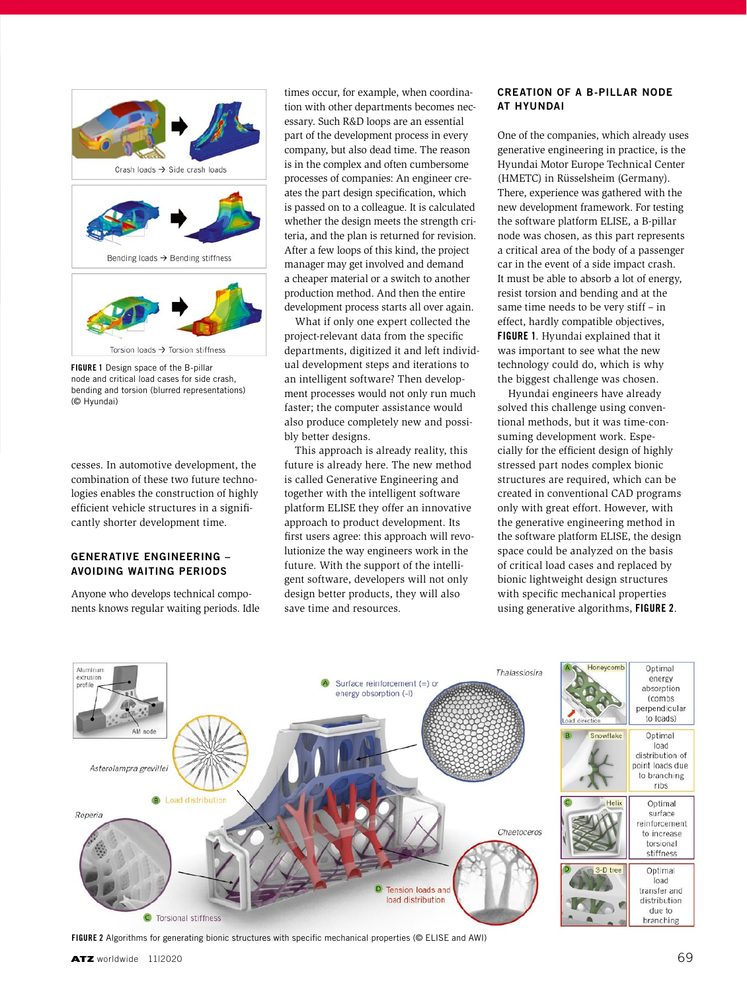

FIGURE 1 Design space of the B-pillar node and critical load cases for side crash, bending and torsion (blurred representations) (© Hyundai)

cesses. In automotive development, the combination of these two future technologies enables the construction of highly efficient vehicle structures in a significantly shorter development time.

### GENERATIVE ENGINEERING – AVOIDING WAITING PERIODS

Anyone who develops technical components knows regular waiting periods. Idle times occur, for example, when coordination with other departments becomes necessary. Such R&D loops are an essential part of the development process in every company, but also dead time. The reason is in the complex and often cumbersome processes of companies: An engineer creates the part design specifcation, which is passed on to a colleague. It is calculated whether the design meets the strength criteria, and the plan is returned for revision. After a few loops of this kind, the project manager may get involved and demand a cheaper material or a switch to another production method. And then the entire development process starts all over again.

What if only one expert collected the project-relevant data from the specifc departments, digitized it and left individual development steps and iterations to an intelligent software? Then development processes would not only run much faster; the computer assistance would also produce completely new and possibly better designs.

This approach is already reality, this future is already here. The new method is called Generative Engineering and together with the intelligent software platform ELISE they offer an innovative approach to product development. Its frst users agree: this approach will revolutionize the way engineers work in the future. With the support of the intelligent software, developers will not only design better products, they will also save time and resources.

#### CREATION OF A B-PILLAR NODE AT HYUNDAI

One of the companies, which already uses generative engineering in practice, is the Hyundai Motor Europe Technical Center (HMETC) in Rüsselsheim (Germany). There, experience was gathered with the new development framework. For testing the software platform ELISE, a B-pillar node was chosen, as this part represents a critical area of the body of a passenger car in the event of a side impact crash. It must be able to absorb a lot of energy, resist torsion and bending and at the same time needs to be very stiff – in effect, hardly compatible objectives, FIGURE 1. Hyundai explained that it was important to see what the new technology could do, which is why the biggest challenge was chosen.

Hyundai engineers have already solved this challenge using conventional methods, but it was time-consuming development work. Especially for the efficient design of highly stressed part nodes complex bionic structures are required, which can be created in conventional CAD programs only with great effort. However, with the generative engineering method in the software platform ELISE, the design space could be analyzed on the basis of critical load cases and replaced by bionic lightweight design structures with specifc mechanical properties using generative algorithms, FIGURE 2.



FIGURE 2 Algorithms for generating bionic structures with specifc mechanical properties (© ELISE and AWI)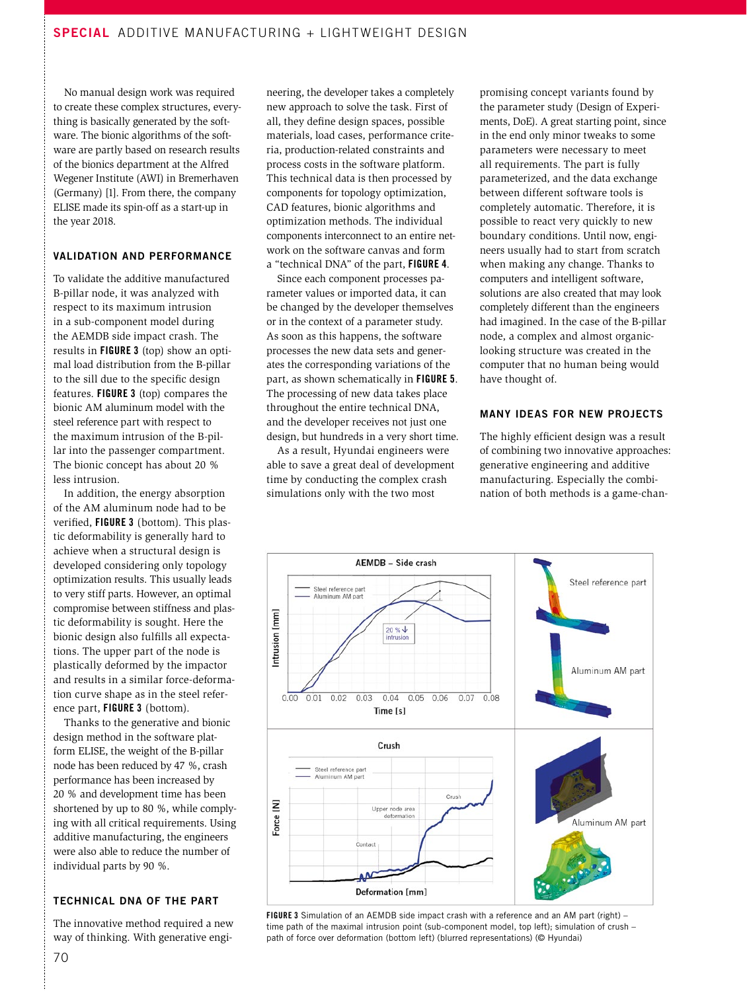No manual design work was required to create these complex structures, everything is basically generated by the software. The bionic algorithms of the software are partly based on research results of the bionics department at the Alfred Wegener Institute (AWI) in Bremerhaven (Germany) [1]. From there, the company ELISE made its spin-off as a start-up in the year 2018.

## VALIDATION AND PERFORMANCE

To validate the additive manufactured B-pillar node, it was analyzed with respect to its maximum intrusion in a sub-component model during the AEMDB side impact crash. The results in FIGURE 3 (top) show an optimal load distribution from the B-pillar to the sill due to the specifc design features. FIGURE 3 (top) compares the bionic AM aluminum model with the steel reference part with respect to the maximum intrusion of the B-pillar into the passenger compartment. The bionic concept has about 20 % less intrusion.

In addition, the energy absorption of the AM aluminum node had to be verifed, FIGURE 3 (bottom). This plastic deformability is generally hard to achieve when a structural design is developed considering only topology optimization results. This usually leads to very stiff parts. However, an optimal compromise between stiffness and plastic deformability is sought. Here the bionic design also fulflls all expectations. The upper part of the node is plastically deformed by the impactor and results in a similar force-deformation curve shape as in the steel reference part, FIGURE 3 (bottom).

Thanks to the generative and bionic design method in the software platform ELISE, the weight of the B-pillar node has been reduced by 47 %, crash performance has been increased by 20 % and development time has been shortened by up to 80 %, while complying with all critical requirements. Using additive manufacturing, the engineers were also able to reduce the number of individual parts by 90 %.

### TECHNICAL DNA OF THE PART

The innovative method required a new way of thinking. With generative engineering, the developer takes a completely new approach to solve the task. First of all, they defne design spaces, possible materials, load cases, performance criteria, production-related constraints and process costs in the software platform. This technical data is then processed by components for topology optimization, CAD features, bionic algorithms and optimization methods. The individual components interconnect to an entire network on the software canvas and form a "technical DNA" of the part, FIGURE 4.

Since each component processes parameter values or imported data, it can be changed by the developer themselves or in the context of a parameter study. As soon as this happens, the software processes the new data sets and generates the corresponding variations of the part, as shown schematically in FIGURE 5. The processing of new data takes place throughout the entire technical DNA, and the developer receives not just one design, but hundreds in a very short time.

As a result, Hyundai engineers were able to save a great deal of development time by conducting the complex crash simulations only with the two most

promising concept variants found by the parameter study (Design of Experiments, DoE). A great starting point, since in the end only minor tweaks to some parameters were necessary to meet all requirements. The part is fully parameterized, and the data exchange between different software tools is completely automatic. Therefore, it is possible to react very quickly to new boundary conditions. Until now, engineers usually had to start from scratch when making any change. Thanks to computers and intelligent software, solutions are also created that may look completely different than the engineers had imagined. In the case of the B-pillar node, a complex and almost organiclooking structure was created in the computer that no human being would have thought of.

#### MANY IDEAS FOR NEW PROJECTS

The highly efficient design was a result of combining two innovative approaches: generative engineering and additive manufacturing. Especially the combination of both methods is a game-chan-



FIGURE 3 Simulation of an AEMDB side impact crash with a reference and an AM part (right) – time path of the maximal intrusion point (sub-component model, top left); simulation of crush – path of force over deformation (bottom left) (blurred representations) (© Hyundai)